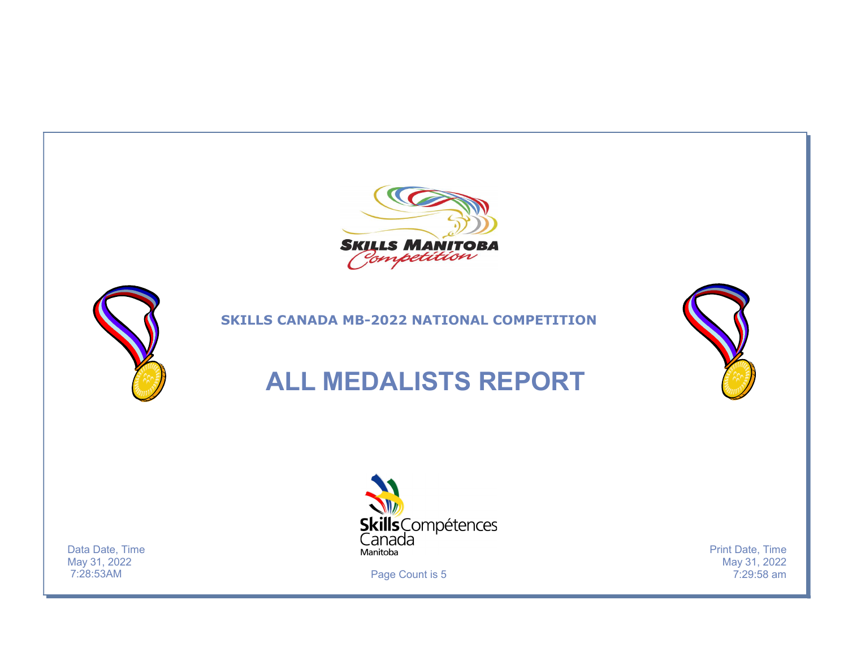



## SKILLS CANADA MB-2022 NATIONAL COMPETITION

## ALL MEDALISTS REPORT



 7:28:53AM May 31, 2022 Data Date, Time



Page Count is 5

 7:29:58 am May 31, 2022 Print Date, Time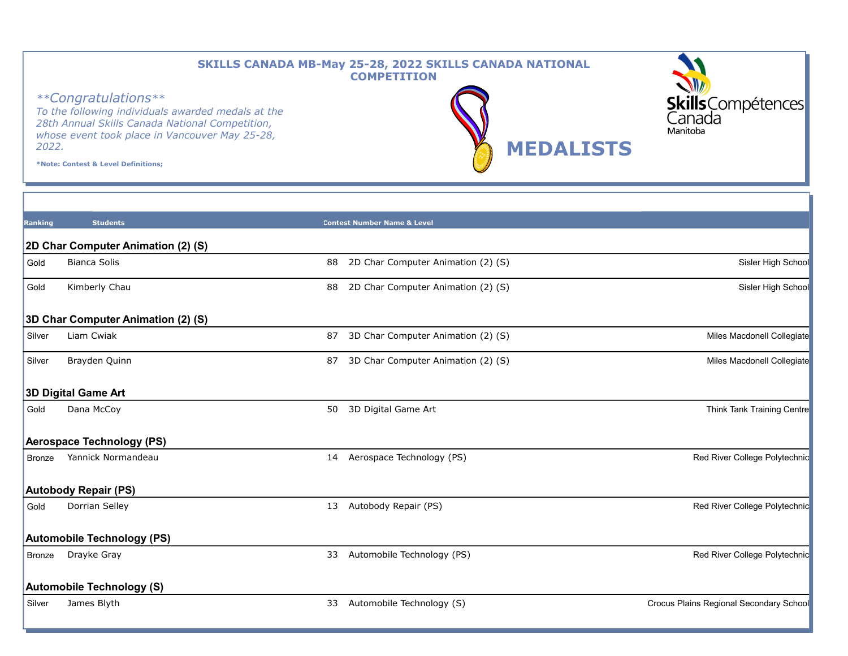

| Ranking       | <b>Students</b>                    |    | <b>Contest Number Name &amp; Level</b> |                                         |
|---------------|------------------------------------|----|----------------------------------------|-----------------------------------------|
|               | 2D Char Computer Animation (2) (S) |    |                                        |                                         |
| Gold          | <b>Bianca Solis</b>                | 88 | 2D Char Computer Animation (2) (S)     | Sisler High School                      |
| Gold          | Kimberly Chau                      | 88 | 2D Char Computer Animation (2) (S)     | Sisler High School                      |
|               | 3D Char Computer Animation (2) (S) |    |                                        |                                         |
| Silver        | Liam Cwiak                         | 87 | 3D Char Computer Animation (2) (S)     | Miles Macdonell Collegiate              |
| Silver        | Brayden Quinn                      | 87 | 3D Char Computer Animation (2) (S)     | Miles Macdonell Collegiate              |
|               | <b>3D Digital Game Art</b>         |    |                                        |                                         |
| Gold          | Dana McCoy                         | 50 | 3D Digital Game Art                    | Think Tank Training Centre              |
|               | <b>Aerospace Technology (PS)</b>   |    |                                        |                                         |
| Bronze        | Yannick Normandeau                 | 14 | Aerospace Technology (PS)              | Red River College Polytechnic           |
|               | <b>Autobody Repair (PS)</b>        |    |                                        |                                         |
| Gold          | Dorrian Selley                     | 13 | Autobody Repair (PS)                   | Red River College Polytechnic           |
|               | <b>Automobile Technology (PS)</b>  |    |                                        |                                         |
| <b>Bronze</b> | Drayke Gray                        | 33 | Automobile Technology (PS)             | Red River College Polytechnic           |
|               | <b>Automobile Technology (S)</b>   |    |                                        |                                         |
| Silver        | James Blyth                        | 33 | Automobile Technology (S)              | Crocus Plains Regional Secondary School |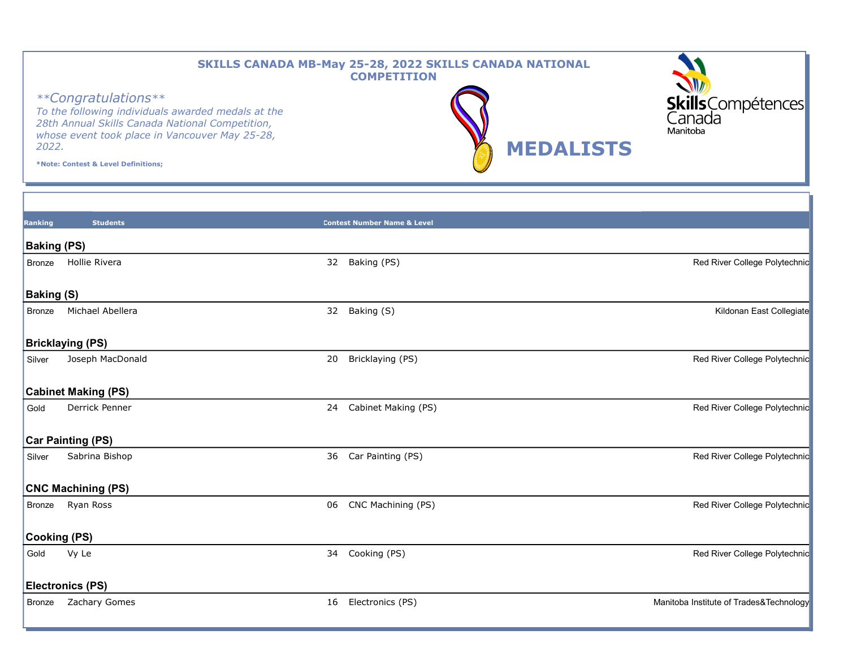| 2022.               | **Congratulations**<br>To the following individuals awarded medals at the<br>28th Annual Skills Canada National Competition,<br>whose event took place in Vancouver May 25-28,<br>*Note: Contest & Level Definitions; |    | <b>SKILLS CANADA MB-May 25-28, 2022 SKILLS CANADA NATIONAL</b><br><b>COMPETITION</b> | <b>MEDALISTS</b> | SkillsCompétences<br>Manitoba           |
|---------------------|-----------------------------------------------------------------------------------------------------------------------------------------------------------------------------------------------------------------------|----|--------------------------------------------------------------------------------------|------------------|-----------------------------------------|
| <b>Ranking</b>      | <b>Students</b>                                                                                                                                                                                                       |    | <b>Contest Number Name &amp; Level</b>                                               |                  |                                         |
| <b>Baking (PS)</b>  |                                                                                                                                                                                                                       |    |                                                                                      |                  |                                         |
| Bronze              | Hollie Rivera                                                                                                                                                                                                         |    | 32 Baking (PS)                                                                       |                  | Red River College Polytechnic           |
| <b>Baking (S)</b>   |                                                                                                                                                                                                                       |    |                                                                                      |                  |                                         |
| <b>Bronze</b>       | Michael Abellera                                                                                                                                                                                                      |    | 32 Baking (S)                                                                        |                  | Kildonan East Collegiate                |
|                     | <b>Bricklaying (PS)</b>                                                                                                                                                                                               |    |                                                                                      |                  |                                         |
| Silver              | Joseph MacDonald                                                                                                                                                                                                      | 20 | Bricklaying (PS)                                                                     |                  | Red River College Polytechnic           |
|                     | <b>Cabinet Making (PS)</b>                                                                                                                                                                                            |    |                                                                                      |                  |                                         |
| Gold                | Derrick Penner                                                                                                                                                                                                        | 24 | Cabinet Making (PS)                                                                  |                  | Red River College Polytechnic           |
|                     | <b>Car Painting (PS)</b>                                                                                                                                                                                              |    |                                                                                      |                  |                                         |
| Silver              | Sabrina Bishop                                                                                                                                                                                                        | 36 | Car Painting (PS)                                                                    |                  | Red River College Polytechnic           |
|                     | <b>CNC Machining (PS)</b>                                                                                                                                                                                             |    |                                                                                      |                  |                                         |
| Bronze              | Ryan Ross                                                                                                                                                                                                             | 06 | CNC Machining (PS)                                                                   |                  | Red River College Polytechnic           |
| <b>Cooking (PS)</b> |                                                                                                                                                                                                                       |    |                                                                                      |                  |                                         |
| Gold                | Vy Le                                                                                                                                                                                                                 |    | 34 Cooking (PS)                                                                      |                  | Red River College Polytechnic           |
|                     | <b>Electronics (PS)</b>                                                                                                                                                                                               |    |                                                                                      |                  |                                         |
| Bronze              | Zachary Gomes                                                                                                                                                                                                         | 16 | Electronics (PS)                                                                     |                  | Manitoba Institute of Trades&Technology |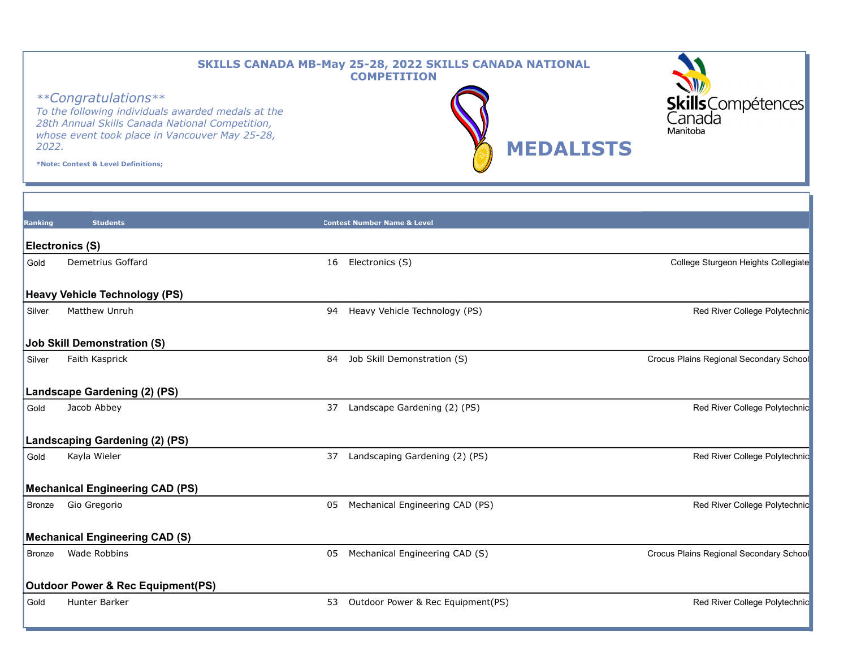